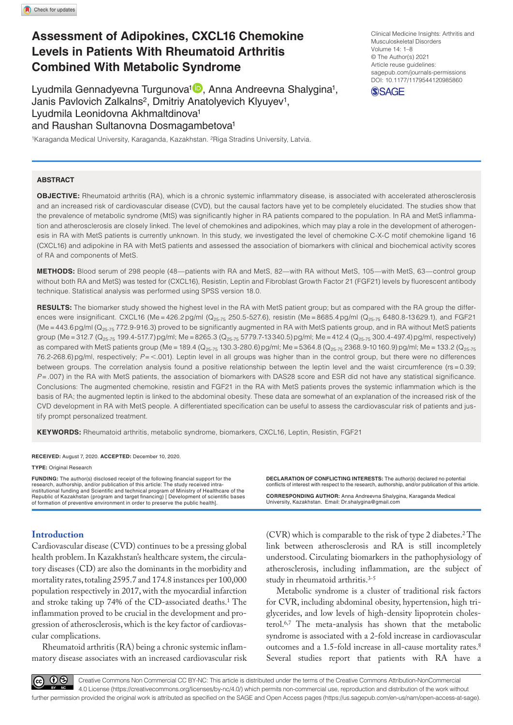# **Assessment of Adipokines, CXCL16 Chemokine Levels in Patients With Rheumatoid Arthritis Combined With Metabolic Syndrome**

Lyudmila Gennadyevna Turgunova<sup>1</sup><sup>D</sup>, Anna Andreevna Shalygina<sup>1</sup>, Janis Pavlovich Zalkalns<sup>2</sup>, Dmitriy Anatolyevich Klyuyev<sup>1</sup>, Lyudmila Leonidovna Akhmaltdinova1 and Raushan Sultanovna Dosmagambetova1

1Karaganda Medical University, Karaganda, Kazakhstan. <sup>2</sup>Riga Stradins University, Latvia.

**ABSTRACT**

DOI: 10.1177/1179544120985860 Clinical Medicine Insights: Arthritis and Musculoskeletal Disorders Volume 14: 1–8 © The Author(s) 2021 Article reuse guidelines: [sagepub.com/journals-permissions](https://uk.sagepub.com/en-gb/journals-permissions)



**Objective:** Rheumatoid arthritis (RA), which is a chronic systemic inflammatory disease, is associated with accelerated atherosclerosis and an increased risk of cardiovascular disease (CVD), but the causal factors have yet to be completely elucidated. The studies show that the prevalence of metabolic syndrome (MtS) was significantly higher in RA patients compared to the population. In RA and MetS inflammation and atherosclerosis are closely linked. The level of chemokines and adipokines, which may play a role in the development of atherogenesis in RA with MetS patients is currently unknown. In this study, we investigated the level of chemokine C-X-C motif chemokine ligand 16 (CXCL16) and adipokine in RA with MetS patients and assessed the association of biomarkers with clinical and biochemical activity scores of RA and components of MetS.

**Methods:** Blood serum of 298 people (48—patients with RA and MetS, 82—with RA without MetS, 105—with MetS, 63—control group without both RA and MetS) was tested for (CXCL16), Resistin, Leptin and Fibroblast Growth Factor 21 (FGF21) levels by fluorescent antibody technique. Statistical analysis was performed using SPSS version 18.0.

**RESULTS:** The biomarker study showed the highest level in the RA with MetS patient group; but as compared with the RA group the differences were insignificant. CXCL16 (Me = 426.2pg/ml (Q<sub>25-75</sub> 250.5-527.6), resistin (Me = 8685.4pg/ml (Q<sub>25-75</sub> 6480.8-13 629.1), and FGF21 (Me = 443.6 pg/ml ( $Q_{25-75}$  772.9-916.3) proved to be significantly augmented in RA with MetS patients group, and in RA without MetS patients group (Me = 312.7 (Q<sub>25-75</sub> 199.4-517.7) pg/ml; Me = 8265.3 (Q<sub>25-75</sub> 5779.7-13 340.5) pg/ml; Me = 412.4 (Q<sub>25-75</sub> 300.4-497.4) pg/ml, respectively) as compared with MetS patients group (Me = 189.4 (Q<sub>25-75</sub> 130.3-280.6) pg/ml; Me = 5364.8 (Q<sub>25-75</sub> 2368.9-10 160.9) pg/ml; Me = 133.2 (Q<sub>25-75</sub> 76.2-268.6)pg/ml, respectively; *P*= <.001). Leptin level in all groups was higher than in the control group, but there were no differences between groups. The correlation analysis found a positive relationship between the leptin level and the waist circumference (rs=0.39; *P*=.007) in the RA with MetS patients, the association of biomarkers with DAS28 score and ESR did not have any statistical significance. Conclusions: The augmented chemokine, resistin and FGF21 in the RA with MetS patients proves the systemic inflammation which is the basis of RA; the augmented leptin is linked to the abdominal obesity. These data are somewhat of an explanation of the increased risk of the CVD development in RA with MetS people. A differentiated specification can be useful to assess the cardiovascular risk of patients and justify prompt personalized treatment.

**Keywords:** Rheumatoid arthritis, metabolic syndrome, biomarkers, CXCL16, Leptin, Resistin, FGF21

**RECEIVED:** August 7, 2020. **ACCEPTED:** December 10, 2020.

**Type:** Original Research

**FUNDING:** The author(s) disclosed receipt of the following financial support for the research, authorship, and/or publication of this article: The study received intra-<br>institutional funding and Scientific and technical program of Ministry of Healthcare of the<br>Republic of Kazakhstan (program and target fin of formation of preventive environment in order to preserve the public health].

# **Introduction**

Cardiovascular disease (CVD) continues to be a pressing global health problem. In Kazakhstan's healthcare system, the circulatory diseases (CD) are also the dominants in the morbidity and mortality rates, totaling 2595.7 and 174.8 instances per 100,000 population respectively in 2017, with the myocardial infarction and stroke taking up 74% of the CD-associated deaths.1 The inflammation proved to be crucial in the development and progression of atherosclerosis, which is the key factor of cardiovascular complications.

Rheumatoid arthritis (RA) being a chronic systemic inflammatory disease associates with an increased cardiovascular risk **Declaration of conflicting interests:** The author(s) declared no potential conflicts of interest with respect to the research, authorship, and/or publication of this article.

**CORRESPONDING AUTHOR:** Anna Andreevna Shalygina, Karaganda Medical University, Kazakhstan. Email: [Dr.shalygina@gmail.com](mailto:Dr.shalygina@gmail.com)

 $(CVR)$  which is comparable to the risk of type 2 diabetes.<sup>2</sup> The link between atherosclerosis and RA is still incompletely understood. Circulating biomarkers in the pathophysiology of atherosclerosis, including inflammation, are the subject of study in rheumatoid arthritis.3-5

Metabolic syndrome is a cluster of traditional risk factors for CVR, including abdominal obesity, hypertension, high triglycerides, and low levels of high-density lipoprotein cholesterol.6,7 The meta-analysis has shown that the metabolic syndrome is associated with a 2-fold increase in cardiovascular outcomes and a 1.5-fold increase in all-cause mortality rates.8 Several studies report that patients with RA have a

 $\mathbf{0}$ 

Creative Commons Non Commercial CC BY-NC: This article is distributed under the terms of the Creative Commons Attribution-NonCommercial 4.0 License (https://creativecommons.org/licenses/by-nc/4.0/) which permits non-commercial use, reproduction and distribution of the work without further permission provided the original work is attributed as specified on the SAGE and Open Access pages (https://us.sagepub.com/en-us/nam/open-access-at-sage).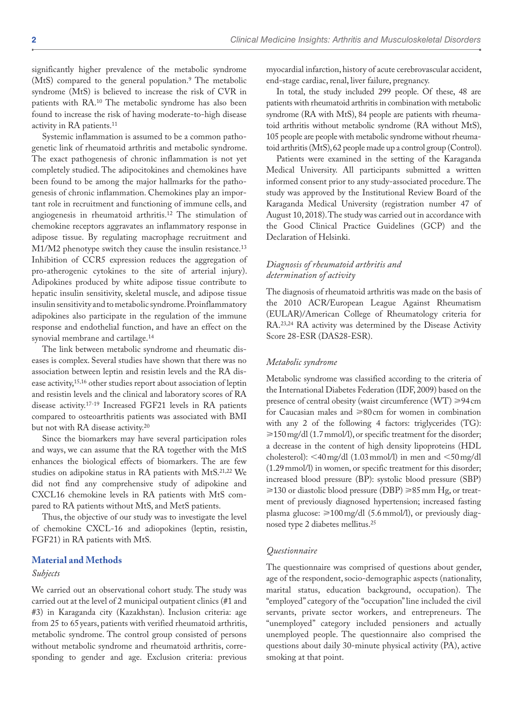significantly higher prevalence of the metabolic syndrome (MtS) compared to the general population.<sup>9</sup> The metabolic syndrome (MtS) is believed to increase the risk of CVR in patients with RA.10 The metabolic syndrome has also been found to increase the risk of having moderate-to-high disease activity in RA patients.11

Systemic inflammation is assumed to be a common pathogenetic link of rheumatoid arthritis and metabolic syndrome. The exact pathogenesis of chronic inflammation is not yet completely studied. The adipocitokines and chemokines have been found to be among the major hallmarks for the pathogenesis of chronic inflammation. Chemokines play an important role in recruitment and functioning of immune cells, and angiogenesis in rheumatoid arthritis.12 The stimulation of chemokine receptors aggravates an inflammatory response in adipose tissue. By regulating macrophage recruitment and M1/M2 phenotype switch they cause the insulin resistance.<sup>13</sup> Inhibition of CCR5 expression reduces the aggregation of pro-atherogenic cytokines to the site of arterial injury). Adipokines produced by white adipose tissue contribute to hepatic insulin sensitivity, skeletal muscle, and adipose tissue insulin sensitivity and to metabolic syndrome. Proinflammatory adipokines also participate in the regulation of the immune response and endothelial function, and have an effect on the synovial membrane and cartilage.14

The link between metabolic syndrome and rheumatic diseases is complex. Several studies have shown that there was no association between leptin and resistin levels and the RA disease activity,15,16 other studies report about association of leptin and resistin levels and the clinical and laboratory scores of RA disease activity.17-19 Increased FGF21 levels in RA patients compared to osteoarthritis patients was associated with BMI but not with RA disease activity.20

Since the biomarkers may have several participation roles and ways, we can assume that the RA together with the MtS enhances the biological effects of biomarkers. The are few studies on adipokine status in RA patients with MtS.21,22 We did not find any comprehensive study of adipokine and CXCL16 chemokine levels in RA patients with MtS compared to RA patients without MtS, and MetS patients.

Thus, the objective of our study was to investigate the level of chemokine CXCL-16 and adiopokines (leptin, resistin, FGF21) in RA patients with MtS.

#### **Material and Methods**

#### *Subjects*

We carried out an observational cohort study. The study was carried out at the level of 2 municipal outpatient clinics (#1 and #3) in Karaganda city (Kazakhstan). Inclusion criteria: age from 25 to 65years, patients with verified rheumatoid arthritis, metabolic syndrome. The control group consisted of persons without metabolic syndrome and rheumatoid arthritis, corresponding to gender and age. Exclusion criteria: previous

myocardial infarction, history of acute cerebrovascular accident, end-stage cardiac, renal, liver failure, pregnancy.

In total, the study included 299 people. Of these, 48 are patients with rheumatoid arthritis in combination with metabolic syndrome (RA with MtS), 84 people are patients with rheumatoid arthritis without metabolic syndrome (RA without MtS), 105 people are people with metabolic syndrome without rheumatoid arthritis (MtS), 62 people made up a control group (Control).

Patients were examined in the setting of the Karaganda Medical University. All participants submitted a written informed consent prior to any study-associated procedure. The study was approved by the Institutional Review Board of the Karaganda Medical University (registration number 47 of August 10, 2018). The study was carried out in accordance with the Good Clinical Practice Guidelines (GCP) and the Declaration of Helsinki.

### *Diagnosis of rheumatoid arthritis and determination of activity*

The diagnosis of rheumatoid arthritis was made on the basis of the 2010 ACR/European League Against Rheumatism (EULAR)/American College of Rheumatology criteria for RA.23,24 RA activity was determined by the Disease Activity Score 28-ESR (DAS28-ESR).

#### *Metabolic syndrome*

Metabolic syndrome was classified according to the criteria of the International Diabetes Federation (IDF, 2009) based on the presence of central obesity (waist circumference  $(WT) \ge 94$  cm for Caucasian males and  $\geq 80$  cm for women in combination with any 2 of the following 4 factors: triglycerides (TG): ≥150 mg/dl (1.7 mmol/l), or specific treatment for the disorder; a decrease in the content of high density lipoproteins (HDL cholesterol): <40mg/dl (1.03mmol/l) in men and <50mg/dl (1.29mmol/l) in women, or specific treatment for this disorder; increased blood pressure (BP): systolic blood pressure (SBP) ≥130 or diastolic blood pressure (DBP) ≥85 mm Hg, or treatment of previously diagnosed hypertension; increased fasting plasma glucose:  $\geq 100 \text{ mg/dl}$  (5.6 mmol/l), or previously diagnosed type 2 diabetes mellitus.25

## *Questionnaire*

The questionnaire was comprised of questions about gender, age of the respondent, socio-demographic aspects (nationality, marital status, education background, occupation). The "employed" category of the "occupation" line included the civil servants, private sector workers, and entrepreneurs. The "unemployed" category included pensioners and actually unemployed people. The questionnaire also comprised the questions about daily 30-minute physical activity (PA), active smoking at that point.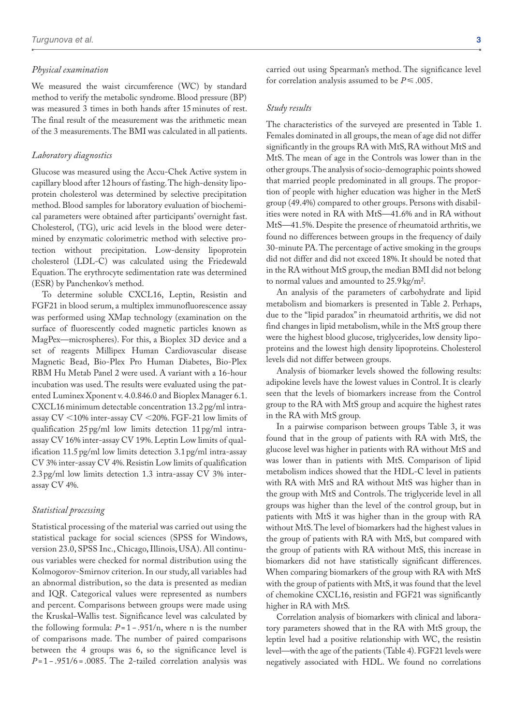#### *Physical examination*

We measured the waist circumference (WC) by standard method to verify the metabolic syndrome. Blood pressure (BP) was measured 3 times in both hands after 15minutes of rest. The final result of the measurement was the arithmetic mean of the 3 measurements. The BMI was calculated in all patients.

#### *Laboratory diagnostics*

Glucose was measured using the Accu-Chek Active system in capillary blood after 12hours of fasting. The high-density lipoprotein cholesterol was determined by selective precipitation method. Blood samples for laboratory evaluation of biochemical parameters were obtained after participants' overnight fast. Cholesterol, (TG), uric acid levels in the blood were determined by enzymatic colorimetric method with selective protection without precipitation. Low-density lipoprotein cholesterol (LDL-C) was calculated using the Friedewald Equation. The erythrocyte sedimentation rate was determined (ESR) by Panchenkov's method.

To determine soluble CXCL16, Leptin, Resistin and FGF21 in blood serum, a multiplex immunofluorescence assay was performed using XMap technology (examination on the surface of fluorescently coded magnetic particles known as MagPex—microspheres). For this, a Bioplex 3D device and a set of reagents Millipex Human Cardiovascular disease Magnetic Bead, Bio-Plex Pro Human Diabetes, Bio-Plex RBM Hu Metab Panel 2 were used. A variant with a 16-hour incubation was used. The results were evaluated using the patented Luminex Xponent v. 4.0.846.0 and Bioplex Manager 6.1. CXCL16minimum detectable concentration 13.2pg/ml intraassay CV <10% inter-assay CV <20%. FGF-21 low limits of qualification 25pg/ml low limits detection 11pg/ml intraassay CV 16% inter-assay CV 19%. Leptin Low limits of qualification 11.5pg/ml low limits detection 3.1pg/ml intra-assay CV 3% inter-assay CV 4%. Resistin Low limits of qualification 2.3pg/ml low limits detection 1.3 intra-assay CV 3% interassay CV 4%.

#### *Statistical processing*

Statistical processing of the material was carried out using the statistical package for social sciences (SPSS for Windows, version 23.0, SPSS Inc., Chicago, Illinois, USA). All continuous variables were checked for normal distribution using the Kolmogorov-Smirnov criterion. In our study, all variables had an abnormal distribution, so the data is presented as median and IQR. Categorical values were represented as numbers and percent. Comparisons between groups were made using the Kruskal–Wallis test. Significance level was calculated by the following formula:  $P = 1 - .951/n$ , where n is the number of comparisons made. The number of paired comparisons between the 4 groups was 6, so the significance level is *P*= 1 − .951/6 = .0085. The 2-tailed correlation analysis was carried out using Spearman's method. The significance level for correlation analysis assumed to be  $P \leq 0.005$ .

#### *Study results*

The characteristics of the surveyed are presented in Table 1. Females dominated in all groups, the mean of age did not differ significantly in the groups RA with MtS, RA without MtS and MtS. The mean of age in the Controls was lower than in the other groups. The analysis of socio-demographic points showed that married people predominated in all groups. The proportion of people with higher education was higher in the MetS group (49.4%) compared to other groups. Persons with disabilities were noted in RA with MtS—41.6% and in RA without MtS—41.5%. Despite the presence of rheumatoid arthritis, we found no differences between groups in the frequency of daily 30-minute PA. The percentage of active smoking in the groups did not differ and did not exceed 18%. It should be noted that in the RA without MtS group, the median BMI did not belong to normal values and amounted to 25.9kg/m2.

An analysis of the parameters of carbohydrate and lipid metabolism and biomarkers is presented in Table 2. Perhaps, due to the "lipid paradox" in rheumatoid arthritis, we did not find changes in lipid metabolism, while in the MtS group there were the highest blood glucose, triglycerides, low density lipoproteins and the lowest high density lipoproteins. Cholesterol levels did not differ between groups.

Analysis of biomarker levels showed the following results: adipokine levels have the lowest values in Control. It is clearly seen that the levels of biomarkers increase from the Control group to the RA with MtS group and acquire the highest rates in the RA with MtS group.

In a pairwise comparison between groups Table 3, it was found that in the group of patients with RA with MtS, the glucose level was higher in patients with RA without MtS and was lower than in patients with MtS. Comparison of lipid metabolism indices showed that the HDL-C level in patients with RA with MtS and RA without MtS was higher than in the group with MtS and Controls. The triglyceride level in all groups was higher than the level of the control group, but in patients with MtS it was higher than in the group with RA without MtS. The level of biomarkers had the highest values in the group of patients with RA with MtS, but compared with the group of patients with RA without MtS, this increase in biomarkers did not have statistically significant differences. When comparing biomarkers of the group with RA with MtS with the group of patients with MtS, it was found that the level of chemokine CXCL16, resistin and FGF21 was significantly higher in RA with MtS.

Correlation analysis of biomarkers with clinical and laboratory parameters showed that in the RA with MtS group, the leptin level had a positive relationship with WC, the resistin level—with the age of the patients (Table 4). FGF21 levels were negatively associated with HDL. We found no correlations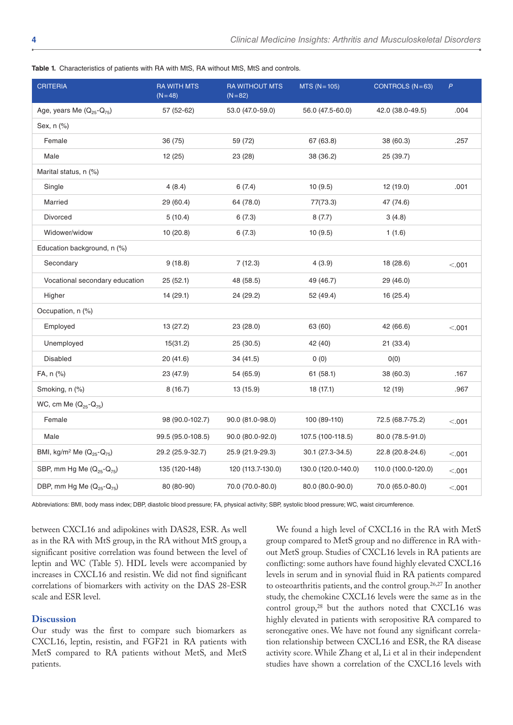| <b>CRITERIA</b>                                               | <b>RA WITH MTS</b><br>$(N=48)$ | <b>RA WITHOUT MTS</b><br>$(N=82)$ | $MTS (N = 105)$     | CONTROLS $(N=63)$   | $\mathsf{P}$ |
|---------------------------------------------------------------|--------------------------------|-----------------------------------|---------------------|---------------------|--------------|
| Age, years Me $(Q_{25}-Q_{75})$                               | 57 (52-62)                     | 53.0 (47.0-59.0)                  | 56.0 (47.5-60.0)    | 42.0 (38.0-49.5)    | .004         |
| Sex, n (%)                                                    |                                |                                   |                     |                     |              |
| Female                                                        | 36 (75)                        | 59 (72)                           | 67 (63.8)           | 38 (60.3)           | .257         |
| Male                                                          | 12(25)                         | 23 (28)                           | 38 (36.2)           | 25 (39.7)           |              |
| Marital status, n (%)                                         |                                |                                   |                     |                     |              |
| Single                                                        | 4(8.4)                         | 6(7.4)                            | 10(9.5)             | 12 (19.0)           | .001         |
| Married                                                       | 29 (60.4)                      | 64 (78.0)                         | 77(73.3)            | 47 (74.6)           |              |
| Divorced                                                      | 5(10.4)                        | 6(7.3)                            | 8(7.7)              | 3(4.8)              |              |
| Widower/widow                                                 | 10(20.8)                       | 6(7.3)                            | 10(9.5)             | 1(1.6)              |              |
| Education background, n (%)                                   |                                |                                   |                     |                     |              |
| Secondary                                                     | 9(18.8)                        | 7(12.3)                           | 4(3.9)              | 18 (28.6)           | < .001       |
| Vocational secondary education                                | 25(52.1)                       | 48 (58.5)                         | 49 (46.7)           | 29 (46.0)           |              |
| Higher                                                        | 14 (29.1)                      | 24 (29.2)                         | 52 (49.4)           | 16 (25.4)           |              |
| Occupation, n (%)                                             |                                |                                   |                     |                     |              |
| Employed                                                      | 13 (27.2)                      | 23 (28.0)                         | 63 (60)             | 42 (66.6)           | < .001       |
| Unemployed                                                    | 15(31.2)                       | 25 (30.5)                         | 42 (40)             | 21 (33.4)           |              |
| <b>Disabled</b>                                               | 20 (41.6)                      | 34 (41.5)                         | 0(0)                | O(0)                |              |
| FA, n (%)                                                     | 23 (47.9)                      | 54 (65.9)                         | 61(58.1)            | 38 (60.3)           | .167         |
| Smoking, n (%)                                                | 8(16.7)                        | 13 (15.9)                         | 18 (17.1)           | 12 (19)             | .967         |
| WC, cm Me $(Q_{25} - Q_{75})$                                 |                                |                                   |                     |                     |              |
| Female                                                        | 98 (90.0-102.7)                | 90.0 (81.0-98.0)                  | 100 (89-110)        | 72.5 (68.7-75.2)    | < .001       |
| Male                                                          | 99.5 (95.0-108.5)              | 90.0 (80.0-92.0)                  | 107.5 (100-118.5)   | 80.0 (78.5-91.0)    |              |
| BMI, kg/m <sup>2</sup> Me (Q <sub>25</sub> -Q <sub>75</sub> ) | 29.2 (25.9-32.7)               | 25.9 (21.9-29.3)                  | 30.1 (27.3-34.5)    | 22.8 (20.8-24.6)    | < .001       |
| SBP, mm Hg Me (Q <sub>25</sub> -Q <sub>75</sub> )             | 135 (120-148)                  | 120 (113.7-130.0)                 | 130.0 (120.0-140.0) | 110.0 (100.0-120.0) | < .001       |
| DBP, mm Hg Me $(Q_{25} - Q_{75})$                             | 80 (80-90)                     | 70.0 (70.0-80.0)                  | 80.0 (80.0-90.0)    | 70.0 (65.0-80.0)    | < .001       |

**Table 1.** Characteristics of patients with RA with MtS, RA without MtS, MtS and controls.

Abbreviations: BMI, body mass index; DBP, diastolic blood pressure; FA, physical activity; SBP, systolic blood pressure; WC, waist circumference.

between CXCL16 and adipokines with DAS28, ESR. As well as in the RA with MtS group, in the RA without MtS group, a significant positive correlation was found between the level of leptin and WC (Table 5). HDL levels were accompanied by increases in CXCL16 and resistin. We did not find significant correlations of biomarkers with activity on the DAS 28-ESR scale and ESR level.

# **Discussion**

Our study was the first to compare such biomarkers as CXCL16, leptin, resistin, and FGF21 in RA patients with MetS compared to RA patients without MetS, and MetS patients.

We found a high level of CXCL16 in the RA with MetS group compared to MetS group and no difference in RA without MetS group. Studies of CXCL16 levels in RA patients are conflicting: some authors have found highly elevated CXCL16 levels in serum and in synovial fluid in RA patients compared to osteoarthritis patients, and the control group.<sup>26,27</sup> In another study, the chemokine CXCL16 levels were the same as in the control group,<sup>28</sup> but the authors noted that CXCL16 was highly elevated in patients with seropositive RA compared to seronegative ones. We have not found any significant correlation relationship between CXCL16 and ESR, the RA disease activity score. While Zhang et al, Li et al in their independent studies have shown a correlation of the CXCL16 levels with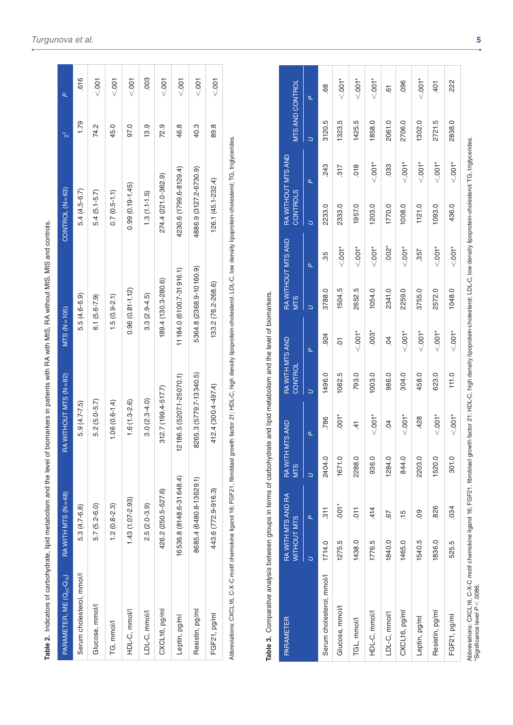| I              |  |
|----------------|--|
|                |  |
|                |  |
|                |  |
|                |  |
| ׇ֚֘֡           |  |
|                |  |
|                |  |
| í              |  |
|                |  |
|                |  |
|                |  |
|                |  |
|                |  |
|                |  |
|                |  |
|                |  |
|                |  |
|                |  |
|                |  |
|                |  |
| j              |  |
|                |  |
|                |  |
|                |  |
|                |  |
| I              |  |
|                |  |
|                |  |
|                |  |
|                |  |
|                |  |
|                |  |
| :              |  |
|                |  |
|                |  |
|                |  |
|                |  |
| l              |  |
|                |  |
| ֦֦֘֝֡֡֡֡֡֡     |  |
|                |  |
|                |  |
|                |  |
|                |  |
|                |  |
| Ó              |  |
| ׇ֚֬֡           |  |
| $\overline{a}$ |  |
| ļ              |  |
|                |  |
|                |  |
|                |  |
|                |  |
| ׇ֚֠֕֡<br>Ì     |  |
|                |  |
|                |  |
|                |  |
|                |  |
|                |  |
|                |  |
|                |  |
|                |  |
|                |  |
|                |  |
|                |  |
|                |  |
| Ī              |  |
|                |  |
|                |  |
|                |  |
|                |  |
|                |  |
|                |  |
| Ś              |  |
| $\overline{a}$ |  |
|                |  |
|                |  |
|                |  |
|                |  |
| l              |  |
| j              |  |
|                |  |
|                |  |
|                |  |
|                |  |
|                |  |
| ī              |  |
|                |  |
|                |  |
|                |  |
|                |  |
|                |  |
|                |  |
|                |  |
| ׇ֖֘֝֬֕         |  |
|                |  |
|                |  |
| Ï              |  |
| ֚֚֬            |  |
| d              |  |
|                |  |
|                |  |
|                |  |
|                |  |
|                |  |
|                |  |
|                |  |
|                |  |
|                |  |
|                |  |
|                |  |
| ł              |  |
| ¢              |  |
|                |  |
|                |  |
| i              |  |
|                |  |
|                |  |
|                |  |
| j              |  |
| able<br>į<br>I |  |

| PARAMETER, ME $(\mathsf{Q}_{2\mathsf{S}}\text{-}\mathsf{Q}_{7\mathsf{S}})$ | RA WITH MTS (N=48)       | RA WITHOUT MTS (N=82)                        | $MTS (N=105)$             | $CONTROL (N=63)$                                                                                                                                                                                                                                                                                                                                        | $\chi^2$ | Ó,    |
|----------------------------------------------------------------------------|--------------------------|----------------------------------------------|---------------------------|---------------------------------------------------------------------------------------------------------------------------------------------------------------------------------------------------------------------------------------------------------------------------------------------------------------------------------------------------------|----------|-------|
| Serum cholesterol, mmol/l                                                  | $5.3(4.7-6.8)$           | $5.9(4.7 - 7.5)$                             | 5.5 (4.6-6.9)             | $5.4(4.5-6.7)$                                                                                                                                                                                                                                                                                                                                          | 1.79     | .616  |
| Glucose, mmol/l                                                            | $5.7(5.2-6.0)$           | $5.2(5.0-5.7)$                               | $6.1(5.6-7.9)$            | $5.4(5.1-5.7)$                                                                                                                                                                                                                                                                                                                                          | 74.2     | < 001 |
| TG, mmol/l                                                                 | $1.2(0.8-2.3)$           | $1.06(0.6 - 1.4)$                            | $1.5(0.9 - 2.1)$          | $0.7(0.5 - 1.1)$                                                                                                                                                                                                                                                                                                                                        | 45.0     | < 001 |
| HDL-C, mmol/l                                                              | $1.43(1.07 - 2.93)$      | $1.6(1.3 - 2.6)$                             | $0.96(0.81 - 1.12)$       | $0.99(0.19 - 1.45)$                                                                                                                                                                                                                                                                                                                                     | 97.0     | < 001 |
| LDL-C, mmol/l                                                              | $2.5(2.0-3.9)$           | $3.0(2.3 - 4.0)$                             | $3.3(2.9 - 4.5)$          | $1.3(1.1-1.5)$                                                                                                                                                                                                                                                                                                                                          | 13.9     | .003  |
| CXCL16, pg/ml                                                              | 426.2 (250.5-527.6)      | 312.7 (199.4-517.7)                          | 189.4 (130.3-280.6)       | 274.4 (221.0-362.9)                                                                                                                                                                                                                                                                                                                                     | 72.9     | < 001 |
| Leptin, pg/ml                                                              | 16536.8 (8148.6-31648.4) | 2186.5 (5207.1-25070.1)                      | 11 184.0 (6100.7-31916.1) | 4230.6 (1799.6-8129.4)                                                                                                                                                                                                                                                                                                                                  | 46.8     | < 001 |
| Resistin, pg/ml                                                            | 8685.4 (6480.8-13629.1)  | 8265.3 (5779.7-13340.5)                      | 5364.8 (2368.9-10 160.9)  | 4886.9 (3127.2-6730.9)                                                                                                                                                                                                                                                                                                                                  | 40.3     | < 001 |
| FGF21, pg/ml                                                               | 443.6 (772.9-916.3)      | 412.4 (300.4-497.4)                          | 133.2 (76.2-268.6)        | $126.1(45.1 - 232.4)$                                                                                                                                                                                                                                                                                                                                   | 89.8     | $00$  |
| i                                                                          |                          | $\ddot{\phantom{a}}$<br>$\ddot{\phantom{a}}$ | - 1<br>- 1<br>- 1<br>- 1  | $\begin{bmatrix} 1 & 0 & 0 \\ 0 & 0 & 0 \\ 0 & 0 & 0 \\ 0 & 0 & 0 \\ 0 & 0 & 0 \\ 0 & 0 & 0 \\ 0 & 0 & 0 \\ 0 & 0 & 0 \\ 0 & 0 & 0 & 0 \\ 0 & 0 & 0 & 0 \\ 0 & 0 & 0 & 0 \\ 0 & 0 & 0 & 0 \\ 0 & 0 & 0 & 0 & 0 \\ 0 & 0 & 0 & 0 & 0 \\ 0 & 0 & 0 & 0 & 0 \\ 0 & 0 & 0 & 0 & 0 & 0 \\ 0 & 0 & 0 & 0 & 0 & 0 \\ 0 & 0 & 0 & 0 & $<br>$\ddot{\phantom{a}}$ |          |       |

Abbreviations: CXCL16, C-X-C motif chemokine ligand 16; FGF21, fibroblast growth factor 21; HDL-C, high density lipoprotein-cholesterol; LDL-C, low density lipoprotein-cholesterol; TG, triglycerides. Аbbreviations: CXCL16, C-X-C motif chemokine ligand 16; FGF21, fibroblast growth factor 21; HDL-C, high density lipoprotein-cholesterol; LDL-C, low density lipoprotein-cholesterol; TG, triglycerides.

| )                        |
|--------------------------|
| $\frac{1}{2}$            |
|                          |
| í                        |
| $\vdots$                 |
|                          |
| í<br>j                   |
| $\frac{2}{2}$            |
|                          |
| ï                        |
|                          |
| I                        |
| $\overline{\phantom{a}}$ |
| $\overline{a}$<br>ׇ֚֘֝֬  |
|                          |
| $\vdots$<br>l            |
|                          |
|                          |
| <u>s</u><br>ļ            |
| š                        |
|                          |
|                          |
|                          |
| $\frac{5}{5}$            |
|                          |
| )<br>S                   |
|                          |
| j                        |
|                          |
|                          |
|                          |
| ⋍                        |
| l                        |
|                          |
|                          |
|                          |
|                          |
|                          |
| ֚֘                       |
|                          |
|                          |
|                          |
| l                        |
| í                        |
| å                        |
| ĺ                        |
| ċ                        |
| j                        |
|                          |
|                          |
|                          |
|                          |
|                          |
| ï                        |
|                          |
| S                        |
|                          |
|                          |
|                          |
|                          |
|                          |
| ׇ֚֘֡<br>֚֘֝֬             |
|                          |
| l                        |
| l                        |
|                          |
|                          |
|                          |
|                          |
|                          |
|                          |
|                          |
|                          |
| $\overline{\phantom{a}}$ |
|                          |
|                          |
|                          |
|                          |
|                          |
| ֚֓                       |
| Í                        |
|                          |
|                          |
|                          |
| ֘֝<br>I                  |
|                          |
| っ<br>¢                   |
|                          |
|                          |
| Table                    |

| PARAMETER                                                                                                                                                                                                                                 | WITHOUT MTS | RA WITH MTS AND RA | RA WITH<br><b>MTS</b> | I MTS AND       | RA WITH MTS AND<br>CONTROL |                | <b>MTS</b> | RA WITHOUT MTS AND | CONTROLS | RA WITHOUT MTS AND | <b>MTS AND CONTROL</b> |                       |
|-------------------------------------------------------------------------------------------------------------------------------------------------------------------------------------------------------------------------------------------|-------------|--------------------|-----------------------|-----------------|----------------------------|----------------|------------|--------------------|----------|--------------------|------------------------|-----------------------|
|                                                                                                                                                                                                                                           |             | ä,                 |                       | Q,              |                            | ä,             | S          | ä,                 | S        | Q,                 |                        | ä,                    |
| Serum cholesterol, mmol/l                                                                                                                                                                                                                 | 1714.0      | $\frac{1}{3}$      | 2404.0                | 786             | 1496.0                     | 924            | 3788.0     | 35                 | 2233.0   | 243                | 3120.5                 | 68                    |
| Glucose, mmol/l                                                                                                                                                                                                                           | 1275.5      | $.001*$            | 1671.0                | $.001*$         | 1082.5                     | $\overline{O}$ | 1504.5     | $\leq 001$ *       | 2333.0   | 317                | 1323.5                 | $\sum_{n=1}^{\infty}$ |
| TGL, mmol/l                                                                                                                                                                                                                               | 1438.0      | $\overline{5}$     | 2288.0                | $\frac{4}{5}$   | 793.0                      | $5001*$        | 2652.5     | $\leq 001$ *       | 1957.0   | 018                | 1425.5                 | $\sum_{i=1}^{n}$      |
| HDL-C, mmol/l                                                                                                                                                                                                                             | 1776.5      | .414               | 936.0                 | $\leq 001$ *    | 1003.0                     | $.003*$        | 1054.0     | $\frac{1}{2}$      | 1203.0   | $\frac{1}{2}$      | 1858.0                 | $\frac{1}{2}$         |
| LDL-C, mmol/l                                                                                                                                                                                                                             | 1840.0      | 57                 | 1284.0                | S.              | 986.0                      | $\overline{0}$ | 2341.0     | $.002*$            | 1770.0   | 033                | 2061.0                 | $\overline{6}$        |
| CXCL16, pg/ml                                                                                                                                                                                                                             | 1465.0      | 15                 | 844.0                 | $\leq 001$ *    | 304.0                      | $\leq 001$ *   | 2259.0     | $\frac{1}{2}$      | 1008.0   | $\frac{1}{2}$      | 2706.0                 | .096                  |
| Leptin, pg/ml                                                                                                                                                                                                                             | 1540.5      | 80                 | 2203.0                | 428             | 458.0                      | $\leq 001$ *   | 3755.0     | 357                | 1121.0   | $\leq 001$ *       | 1302.0                 | $\leq 001$ *          |
| Resistin, pg/ml                                                                                                                                                                                                                           | 1836.0      | 826                | 1520.0                | $\frac{1}{2}00$ | 623.0                      | $\times$ .001* | 2572.0     | $\frac{1}{2}$      | 1093.0   | $\frac{1}{2}$      | 2721.5                 | 401                   |
| FGF21, pg/ml                                                                                                                                                                                                                              | 525.5       | .034               | 301.0                 | $\frac{1}{2}$   | 111.0                      | $\times 001*$  | 1048.0     | $001*$             | 436.0    | $001*$             | 2838.0                 | 222                   |
| Abbreviations: CXCL16, C-X-C motif chemokine ligand 16; FGF21, fibroblast growth factor 21; HDL-C, high density lipoprotein-cholesterol; LDL-C, low density lipoprotein-cholesterol; TG, triglycerides.<br>*Significance level P < .0086. |             |                    |                       |                 |                            |                |            |                    |          |                    |                        |                       |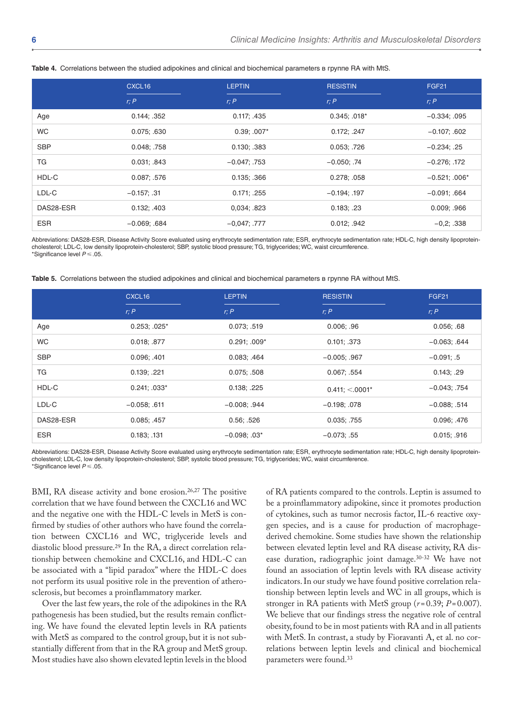|            | CXCL <sub>16</sub> | <b>LEPTIN</b>  | <b>RESISTIN</b>   | FGF <sub>21</sub> |
|------------|--------------------|----------------|-------------------|-------------------|
|            | r; P               | r; P           | r; P              | r; P              |
| Age        | 0.144; .352        | 0.117; .435    | $0.345$ ; $.018*$ | $-0.334; .095$    |
| <b>WC</b>  | 0.075; .630        | $0.39; .007*$  | 0.172; .247       | $-0.107; .602$    |
| <b>SBP</b> | 0.048; .758        | 0.130: .383    | 0.053; .726       | $-0.234; .25$     |
| ТG         | 0.031; .843        | $-0.047; .753$ | $-0.050; .74$     | $-0.276; .172$    |
| HDL-C      | 0.087; .576        | 0.135; .366    | 0.278; .058       | $-0.521; .006*$   |
| LDL-C      | $-0.157; .31$      | 0.171; .255    | $-0.194$ ; .197   | $-0.091; .664$    |
| DAS28-ESR  | 0.132; .403        | 0.034; .823    | 0.183; .23        | 0.009; .966       |
| <b>ESR</b> | $-0.069; .684$     | $-0.047; .777$ | 0.012; .942       | $-0,2; .338$      |

**Table 4.** Correlations between the studied adipokines and clinical and biochemical parameters в группе RA with MtS.

Аbbreviations: DAS28-ESR, Disease Activity Score evaluated using erythrocyte sedimentation rate; ESR, erythrocyte sedimentation rate; HDL-C, high density lipoproteincholesterol; LDL-C, low density lipoprotein-cholesterol; SBP, systolic blood pressure; TG, triglycerides; WC, waist circumference. \*Significance level *P*⩽.05.

**Table 5.** Correlations between the studied adipokines and clinical and biochemical parameters в группе RA without MtS.

|            | CXCL16            | <b>LEPTIN</b>   | <b>RESISTIN</b>   | FGF <sub>21</sub> |
|------------|-------------------|-----------------|-------------------|-------------------|
|            | r; P              | r: P            | r; P              | r; P              |
| Age        | $0.253$ ; $.025*$ | 0.073; .519     | 0.006: .96        | 0.056; .68        |
| <b>WC</b>  | 0.018; .877       | $0.291: .009*$  | 0.101; .373       | $-0.063; .644$    |
| <b>SBP</b> | 0.096; .401       | 0.083; .464     | $-0.005$ ; .967   | $-0.091; .5$      |
| ТG         | 0.139; .221       | 0.075: .508     | 0.067; .554       | 0.143; .29        |
| HDL-C      | $0.241: .033*$    | 0.138: .225     | $0.411; < 0.001*$ | $-0.043; .754$    |
| LDL-C      | $-0.058$ ; .611   | $-0.008$ ; .944 | $-0.198; .078$    | $-0.088$ ; .514   |
| DAS28-ESR  | 0.085; .457       | 0.56; .526      | 0.035; .755       | 0.096; .476       |
| <b>ESR</b> | 0.183; .131       | $-0.098$ ; .03* | $-0.073; .55$     | 0.015; .916       |

Аbbreviations: DAS28-ESR, Disease Activity Score evaluated using erythrocyte sedimentation rate; ESR, erythrocyte sedimentation rate; HDL-C, high density lipoproteincholesterol; LDL-C, low density lipoprotein-cholesterol; SBP, systolic blood pressure; TG, triglycerides; WC, waist circumference. \*Significance level *P*⩽.05.

BMI, RA disease activity and bone erosion.<sup>26,27</sup> The positive correlation that we have found between the CXCL16 and WC and the negative one with the HDL-C levels in MetS is confirmed by studies of other authors who have found the correlation between CXCL16 and WC, triglyceride levels and diastolic blood pressure.29 In the RA, a direct correlation relationship between chemokine and CXCL16, and HDL-C can be associated with a "lipid paradox" where the HDL-C does not perform its usual positive role in the prevention of atherosclerosis, but becomes a proinflammatory marker.

Over the last few years, the role of the adipokines in the RA pathogenesis has been studied, but the results remain conflicting. We have found the elevated leptin levels in RA patients with MetS as compared to the control group, but it is not substantially different from that in the RA group and MetS group. Most studies have also shown elevated leptin levels in the blood

of RA patients compared to the controls. Leptin is assumed to be a proinflammatory adipokine, since it promotes production of cytokines, such as tumor necrosis factor, IL-6 reactive oxygen species, and is a cause for production of macrophagederived chemokine. Some studies have shown the relationship between elevated leptin level and RA disease activity, RA disease duration, radiographic joint damage.30-32 We have not found an association of leptin levels with RA disease activity indicators. In our study we have found positive correlation relationship between leptin levels and WC in all groups, which is stronger in RA patients with MetS group  $(r=0.39; P=0.007)$ . We believe that our findings stress the negative role of central obesity, found to be in most patients with RA and in all patients with MetS. In contrast, a study by Fioravanti A, et al. no correlations between leptin levels and clinical and biochemical parameters were found.33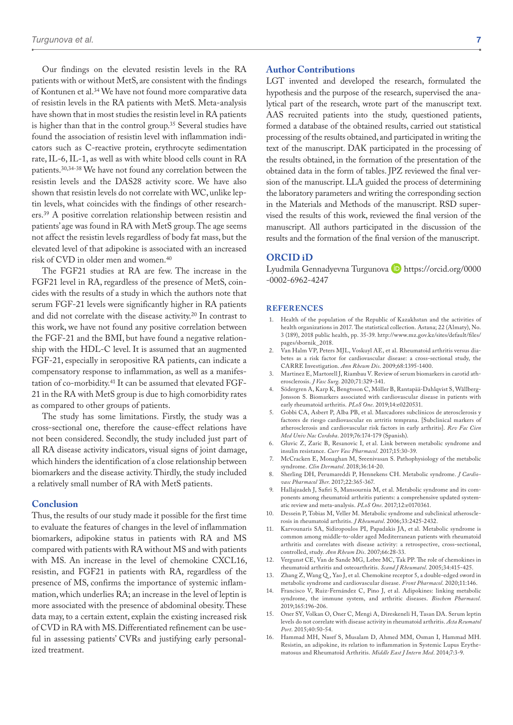Our findings on the elevated resistin levels in the RA patients with or without MetS, are consistent with the findings of Kontunen et al.34 We have not found more comparative data of resistin levels in the RA patients with MetS. Meta-analysis have shown that in most studies the resistin level in RA patients is higher than that in the control group.35 Several studies have found the association of resistin level with inflammation indicators such as C-reactive protein, erythrocyte sedimentation rate, IL-6, IL-1, as well as with white blood cells count in RA patients.30,34-38 We have not found any correlation between the resistin levels and the DAS28 activity score. We have also shown that resistin levels do not correlate with WC, unlike leptin levels, what coincides with the findings of other researchers.39 A positive correlation relationship between resistin and patients' age was found in RA with MetS group. The age seems not affect the resistin levels regardless of body fat mass, but the elevated level of that adipokine is associated with an increased risk of CVD in older men and women.40

The FGF21 studies at RA are few. The increase in the FGF21 level in RA, regardless of the presence of MetS, coincides with the results of a study in which the authors note that serum FGF-21 levels were significantly higher in RA patients and did not correlate with the disease activity.20 In contrast to this work, we have not found any positive correlation between the FGF-21 and the BMI, but have found a negative relationship with the HDL-C level. It is assumed that an augmented FGF-21, especially in seropositive RA patients, can indicate a compensatory response to inflammation, as well as a manifestation of co-morbidity.41 It can be assumed that elevated FGF-21 in the RA with MetS group is due to high comorbidity rates as compared to other groups of patients.

The study has some limitations. Firstly, the study was a cross-sectional one, therefore the cause-effect relations have not been considered. Secondly, the study included just part of all RA disease activity indicators, visual signs of joint damage, which hinders the identification of a close relationship between biomarkers and the disease activity. Thirdly, the study included a relatively small number of RA with MetS patients.

#### **Conclusion**

Thus, the results of our study made it possible for the first time to evaluate the features of changes in the level of inflammation biomarkers, adipokine status in patients with RA and MS compared with patients with RA without MS and with patients with MS. An increase in the level of chemokine CXCL16, resistin, and FGF21 in patients with RA, regardless of the presence of MS, confirms the importance of systemic inflammation, which underlies RA; an increase in the level of leptin is more associated with the presence of abdominal obesity. These data may, to a certain extent, explain the existing increased risk of CVD in RA with MS. Differentiated refinement can be useful in assessing patients' CVRs and justifying early personalized treatment.

#### **Author Contributions**

LGT invented and developed the research, formulated the hypothesis and the purpose of the research, supervised the analytical part of the research, wrote part of the manuscript text. AAS recruited patients into the study, questioned patients, formed a database of the obtained results, carried out statistical processing of the results obtained, and participated in writing the text of the manuscript. DAK participated in the processing of the results obtained, in the formation of the presentation of the obtained data in the form of tables. JPZ reviewed the final version of the manuscript. LLA guided the process of determining the laboratory parameters and writing the corresponding section in the Materials and Methods of the manuscript. RSD supervised the results of this work, reviewed the final version of the manuscript. All authors participated in the discussion of the results and the formation of the final version of the manuscript.

#### **ORCID iD**

Lyudmila Gennadyevna Turgunova D [https://orcid.org/0000](https://orcid.org/0000-0002-6962-4247) [-0002-6962-4247](https://orcid.org/0000-0002-6962-4247)

#### **References**

- 1. Health of the population of the Republic of Kazakhstan and the activities of health organizations in 2017. The statistical collection. Astana; 22 (Almaty), No. 3 (189), 2018 public health, pp. 35-39. [http://www.mz.gov.kz/sites/default/files/](http://www.mz.gov.kz/sites/default/files/pages/sbornik_2018) [pages/sbornik\\_2018](http://www.mz.gov.kz/sites/default/files/pages/sbornik_2018).
- 2. Van Halm VP, Peters MJL, Voskuyl AE, et al. Rheumatoid arthritis versus diabetes as a risk factor for cardiovascular disease: a cross-sectional study, the CARRE Investigation. *Ann Rheum Dis*. 2009;68:1395-1400.
- 3. Martinez E, Martorell J, Riambau V. Review of serum biomarkers in carotid atherosclerosis. *J Vasc Surg*. 2020;71:329-341.
- 4. Södergren A, Karp K, Bengtsson C, Möller B, Rantapää-Dahlqvist S, Wållberg-Jonsson S. Biomarkers associated with cardiovascular disease in patients with early rheumatoid arthritis. *PLoS One*. 2019;14:e0220531.
- 5. Gobbi CA, Asbert P, Alba PB, et al. Marcadores subclínicos de aterosclerosis y factores de riesgo cardiovascular en artritis temprana. [Subclinical markers of atherosclerosis and cardiovascular risk factors in early arthritis]. *Rev Fac Cien Med Univ Nac Cordoba*. 2019;76:174-179 (Spanish).
- 6. Gluvic Z, Zaric B, Resanovic I, et al. Link between metabolic syndrome and insulin resistance. *Curr Vasc Pharmacol*. 2017;15:30-39.
- McCracken E, Monaghan M, Sreenivasan S. Pathophysiology of the metabolic syndrome. *Clin Dermatol*. 2018;36:14-20.
- 8. Sherling DH, Perumareddi P, Hennekens CH. Metabolic syndrome. *J Cardiovasc Pharmacol Ther*. 2017;22:365-367.
- 9. Hallajzadeh J, Safiri S, Mansournia M, et al. Metabolic syndrome and its components among rheumatoid arthritis patients: a comprehensive updated systematic review and meta-analysis. *PLoS One*. 2017;12:e0170361.
- 10. Dessein P, Tobias M, Veller M. Metabolic syndrome and subclinical atherosclerosis in rheumatoid arthritis. *J Rheumatol*. 2006;33:2425-2432.
- 11. Karvounaris SA, Sidiropoulos PI, Papadakis JA, et al. Metabolic syndrome is common among middle-to-older aged Mediterranean patients with rheumatoid arthritis and correlates with disease activity: a retrospective, cross-sectional, controlled, study. *Ann Rheum Dis*. 2007;66:28-33.
- 12. Vergunst CE, Van de Sande MG, Lebre MC, Tak PP. The role of chemokines in rheumatoid arthritis and osteoarthritis. *Scand J Rheumatol*. 2005;34:415-425.
- Zhang Z, Wang Q, Yao J, et al. Chemokine receptor 5, a double-edged sword in metabolic syndrome and cardiovascular disease. *Front Pharmacol*. 2020;11:146.
- 14. Francisco V, Ruiz-Fernández C, Pino J, et al. Adipokines: linking metabolic syndrome, the immune system, and arthritic diseases. *Biochem Pharmacol*. 2019;165:196-206.
- 15. Oner SY, Volkan O, Oner C, Mengi A, Direskeneli H, Tasan DA. Serum leptin levels do not correlate with disease activity in rheumatoid arthritis. *Acta Reumatol Port*. 2015;40:50-54.
- 16. Hammad MH, Nasef S, Musalam D, Ahmed MM, Osman I, Hammad MH. Resistin, an adipokine, its relation to inflammation in Systemic Lupus Erythematosus and Rheumatoid Arthritis. *Middle East J Intern Med*. 2014;7:3-9.